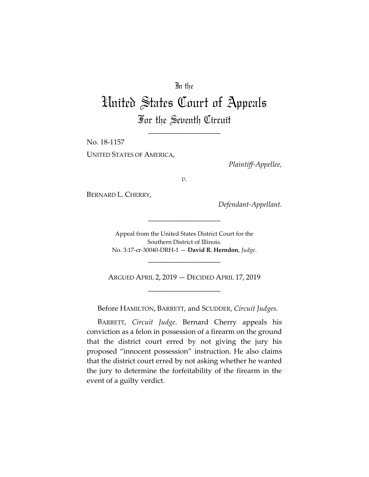## In the

## United States Court of Appeals For the Seventh Circuit

\_\_\_\_\_\_\_\_\_\_\_\_\_\_\_\_\_\_\_\_

No. 18-1157

UNITED STATES OF AMERICA,

*Plaintiff-Appellee,*

*v.*

BERNARD L. CHERRY,

*Defendant-Appellant.*

Appeal from the United States District Court for the Southern District of Illinois. No. 3:17-cr-30040-DRH-1 — **David R. Herndon**, *Judge*.

\_\_\_\_\_\_\_\_\_\_\_\_\_\_\_\_\_\_\_\_

ARGUED APRIL 2, 2019 — DECIDED APRIL 17, 2019 \_\_\_\_\_\_\_\_\_\_\_\_\_\_\_\_\_\_\_\_

\_\_\_\_\_\_\_\_\_\_\_\_\_\_\_\_\_\_\_\_

Before HAMILTON, BARRETT, and SCUDDER, *Circuit Judges*.

BARRETT, *Circuit Judge*. Bernard Cherry appeals his conviction as a felon in possession of a firearm on the ground that the district court erred by not giving the jury his proposed "innocent possession" instruction. He also claims that the district court erred by not asking whether he wanted the jury to determine the forfeitability of the firearm in the event of a guilty verdict.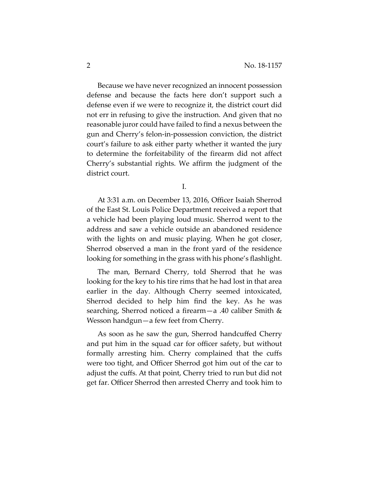Because we have never recognized an innocent possession defense and because the facts here don't support such a defense even if we were to recognize it, the district court did not err in refusing to give the instruction. And given that no reasonable juror could have failed to find a nexus between the gun and Cherry's felon-in-possession conviction, the district court's failure to ask either party whether it wanted the jury to determine the forfeitability of the firearm did not affect Cherry's substantial rights. We affirm the judgment of the district court.

I.

At 3:31 a.m. on December 13, 2016, Officer Isaiah Sherrod of the East St. Louis Police Department received a report that a vehicle had been playing loud music. Sherrod went to the address and saw a vehicle outside an abandoned residence with the lights on and music playing. When he got closer, Sherrod observed a man in the front yard of the residence looking for something in the grass with his phone's flashlight.

The man, Bernard Cherry, told Sherrod that he was looking for the key to his tire rims that he had lost in that area earlier in the day. Although Cherry seemed intoxicated, Sherrod decided to help him find the key. As he was searching, Sherrod noticed a firearm—a .40 caliber Smith & Wesson handgun—a few feet from Cherry.

As soon as he saw the gun, Sherrod handcuffed Cherry and put him in the squad car for officer safety, but without formally arresting him. Cherry complained that the cuffs were too tight, and Officer Sherrod got him out of the car to adjust the cuffs. At that point, Cherry tried to run but did not get far. Officer Sherrod then arrested Cherry and took him to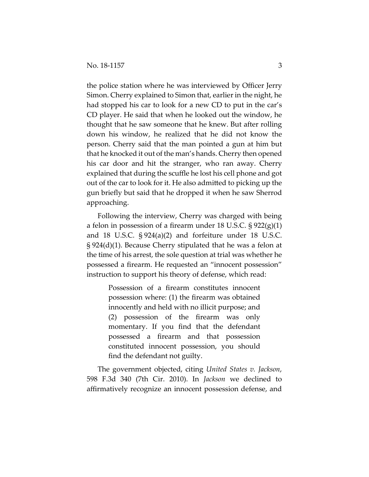the police station where he was interviewed by Officer Jerry Simon. Cherry explained to Simon that, earlier in the night, he had stopped his car to look for a new CD to put in the car's CD player. He said that when he looked out the window, he thought that he saw someone that he knew. But after rolling down his window, he realized that he did not know the person. Cherry said that the man pointed a gun at him but that he knocked it out of the man's hands. Cherry then opened his car door and hit the stranger, who ran away. Cherry explained that during the scuffle he lost his cell phone and got out of the car to look for it. He also admitted to picking up the gun briefly but said that he dropped it when he saw Sherrod approaching.

Following the interview, Cherry was charged with being a felon in possession of a firearm under 18 U.S.C.  $\S 922(g)(1)$ and 18 U.S.C. § 924(a)(2) and forfeiture under 18 U.S.C. § 924(d)(1). Because Cherry stipulated that he was a felon at the time of his arrest, the sole question at trial was whether he possessed a firearm. He requested an "innocent possession" instruction to support his theory of defense, which read:

> Possession of a firearm constitutes innocent possession where: (1) the firearm was obtained innocently and held with no illicit purpose; and (2) possession of the firearm was only momentary. If you find that the defendant possessed a firearm and that possession constituted innocent possession, you should find the defendant not guilty.

The government objected, citing *United States v. Jackson*, 598 F.3d 340 (7th Cir. 2010). In *Jackson* we declined to affirmatively recognize an innocent possession defense, and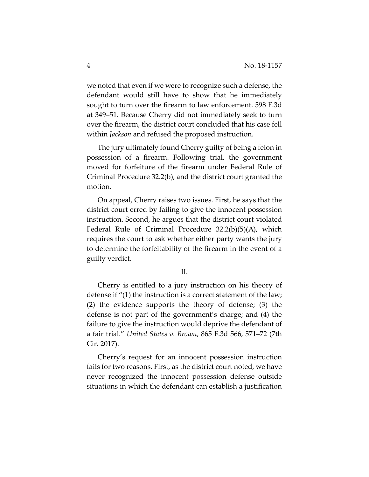we noted that even if we were to recognize such a defense, the defendant would still have to show that he immediately sought to turn over the firearm to law enforcement. 598 F.3d at 349–51. Because Cherry did not immediately seek to turn over the firearm, the district court concluded that his case fell within *Jackson* and refused the proposed instruction.

The jury ultimately found Cherry guilty of being a felon in possession of a firearm. Following trial, the government moved for forfeiture of the firearm under Federal Rule of Criminal Procedure 32.2(b), and the district court granted the motion.

On appeal, Cherry raises two issues. First, he says that the district court erred by failing to give the innocent possession instruction. Second, he argues that the district court violated Federal Rule of Criminal Procedure 32.2(b)(5)(A), which requires the court to ask whether either party wants the jury to determine the forfeitability of the firearm in the event of a guilty verdict.

## II.

Cherry is entitled to a jury instruction on his theory of defense if "(1) the instruction is a correct statement of the law; (2) the evidence supports the theory of defense; (3) the defense is not part of the government's charge; and (4) the failure to give the instruction would deprive the defendant of a fair trial." *United States v. Brown*, 865 F.3d 566, 571–72 (7th Cir. 2017).

Cherry's request for an innocent possession instruction fails for two reasons. First, as the district court noted, we have never recognized the innocent possession defense outside situations in which the defendant can establish a justification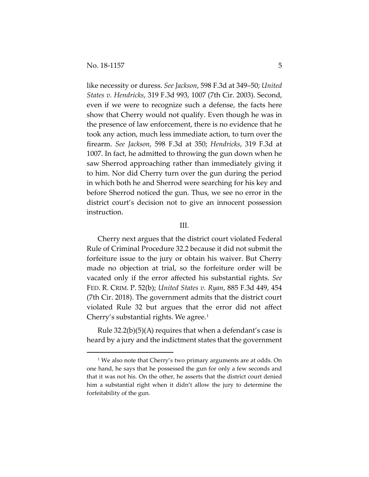$\overline{a}$ 

like necessity or duress. *See Jackson*, 598 F.3d at 349–50; *United States v. Hendricks*, 319 F.3d 993, 1007 (7th Cir. 2003). Second, even if we were to recognize such a defense, the facts here show that Cherry would not qualify. Even though he was in the presence of law enforcement, there is no evidence that he took any action, much less immediate action, to turn over the firearm. *See Jackson*, 598 F.3d at 350; *Hendricks*, 319 F.3d at 1007. In fact, he admitted to throwing the gun down when he saw Sherrod approaching rather than immediately giving it to him. Nor did Cherry turn over the gun during the period in which both he and Sherrod were searching for his key and before Sherrod noticed the gun. Thus, we see no error in the district court's decision not to give an innocent possession instruction.

## III.

Cherry next argues that the district court violated Federal Rule of Criminal Procedure 32.2 because it did not submit the forfeiture issue to the jury or obtain his waiver. But Cherry made no objection at trial, so the forfeiture order will be vacated only if the error affected his substantial rights. *See*  FED. R. CRIM. P. 52(b); *United States v. Ryan*, 885 F.3d 449, 454 (7th Cir. 2018). The government admits that the district court violated Rule 32 but argues that the error did not affect Cherry's substantial rights. We agree.<sup>[1](#page-4-0)</sup>

Rule 32.2(b)(5)(A) requires that when a defendant's case is heard by a jury and the indictment states that the government

<span id="page-4-0"></span><sup>&</sup>lt;sup>1</sup> We also note that Cherry's two primary arguments are at odds. On one hand, he says that he possessed the gun for only a few seconds and that it was not his. On the other, he asserts that the district court denied him a substantial right when it didn't allow the jury to determine the forfeitability of the gun.